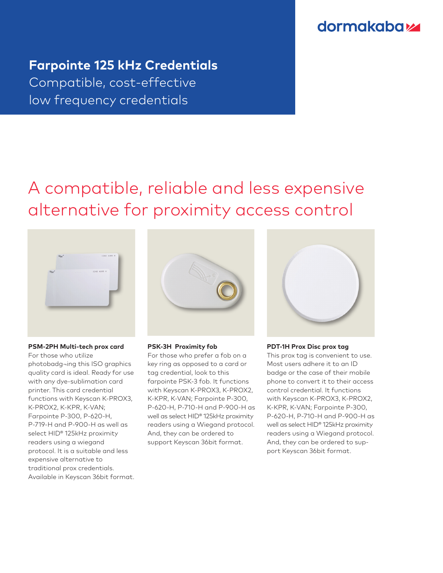### **dormakabaz**

## **Farpointe 125 kHz Credentials**  Compatible, cost-effective low frequency credentials

## A compatible, reliable and less expensive alternative for proximity access control



#### **PSM-2PH Multi-tech prox card**

For those who utilize photobadg¬ing this ISO graphics quality card is ideal. Ready for use with any dye-sublimation card printer. This card credential functions with Keyscan K-PROX3, K-PROX2, K-KPR, K-VAN; Farpointe P-300, P-620-H, P-719-H and P-900-H as well as select HID® 125kHz proximity readers using a wiegand protocol. It is a suitable and less expensive alternative to traditional prox credentials. Available in Keyscan 36bit format.



#### **PSK-3H Proximity fob**

For those who prefer a fob on a key ring as opposed to a card or tag credential, look to this farpointe PSK-3 fob. It functions with Keyscan K-PROX3, K-PROX2, K-KPR, K-VAN; Farpointe P-300, P-620-H, P-710-H and P-900-H as well as select HID® 125kHz proximity readers using a Wiegand protocol. And, they can be ordered to support Keyscan 36bit format.



#### **PDT-1H Prox Disc prox tag**

This prox tag is convenient to use. Most users adhere it to an ID badge or the case of their mobile phone to convert it to their access control credential. It functions with Keyscan K-PROX3, K-PROX2, K-KPR, K-VAN; Farpointe P-300, P-620-H, P-710-H and P-900-H as well as select HID® 125kHz proximity readers using a Wiegand protocol. And, they can be ordered to support Keyscan 36bit format.